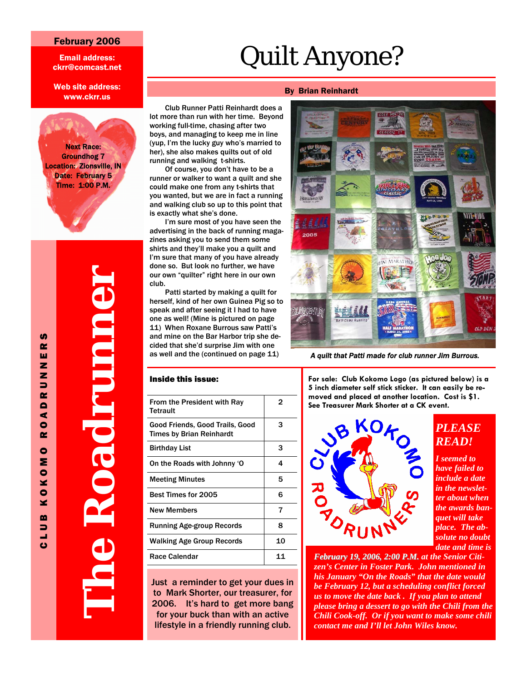#### February 2006

Email address: ckrr@comcast.net

Web site address: www.ckrr.us

Next Race: Groundhog 7 Location: Zionsville, IN Date: February 5 Time: 1:00 P.M.

> **The Roadrunner Contract Contract Contract Contract Contract Contract Contract Contract Contract Contract Contract Contract Co**

# Quilt Anyone?

#### By Brian Reinhardt

Club Runner Patti Reinhardt does a lot more than run with her time. Beyond working full-time, chasing after two boys, and managing to keep me in line (yup, I'm the lucky guy who's married to her), she also makes quilts out of old running and walking t-shirts.

Of course, you don't have to be a runner or walker to want a quilt and she could make one from any t-shirts that you wanted, but we are in fact a running and walking club so up to this point that is exactly what she's done.

I'm sure most of you have seen the advertising in the back of running magazines asking you to send them some shirts and they'll make you a quilt and I'm sure that many of you have already done so. But look no further, we have our own "quilter" right here in our own club.

Patti started by making a quilt for herself, kind of her own Guinea Pig so to speak and after seeing it I had to have one as well! (Mine is pictured on page 11) When Roxane Burrous saw Patti's and mine on the Bar Harbor trip she decided that she'd surprise Jim with one as well and the (continued on page 11)

#### Inside this issue:

| From the President with Ray<br>Tetrault                            | 2  |
|--------------------------------------------------------------------|----|
| Good Friends, Good Trails, Good<br><b>Times by Brian Reinhardt</b> | з  |
| <b>Birthday List</b>                                               | 3  |
| On the Roads with Johnny 'O                                        | 4  |
| <b>Meeting Minutes</b>                                             | 5  |
| <b>Best Times for 2005</b>                                         | 6  |
| <b>New Members</b>                                                 | 7  |
| <b>Running Age-group Records</b>                                   | 8  |
| <b>Walking Age Group Records</b>                                   | 10 |
| Race Calendar                                                      | 11 |
|                                                                    |    |

Just a reminder to get your dues in to Mark Shorter, our treasurer, for 2006. It's hard to get more bang for your buck than with an active lifestyle in a friendly running club.



*A quilt that Patti made for club runner Jim Burrous.* 

**For sale: Club Kokomo Logo (as pictured below) is a 5 inch diameter self stick sticker. It can easily be removed and placed at another location. Cost is \$1. See Treasurer Mark Shorter at a CK event.** 



#### *PLEASE READ!*

*I seemed to have failed to include a date in the newsletter about when the awards banquet will take place. The absolute no doubt date and time is* 

*February 19, 2006, 2:00 P.M. at the Senior Citizen's Center in Foster Park. John mentioned in his January "On the Roads" that the date would be February 12, but a scheduling conflict forced us to move the date back . If you plan to attend please bring a dessert to go with the Chili from the Chili Cook-off. Or if you want to make some chili contact me and I'll let John Wiles know.*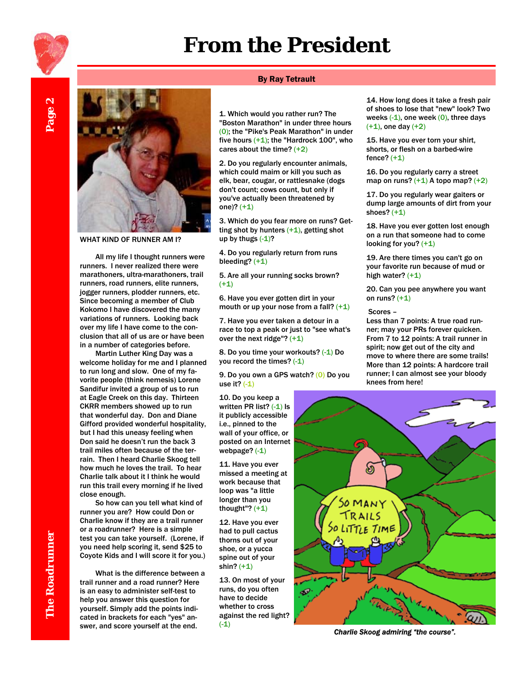## **From the President**



WHAT KIND OF RUNNER AM I?

All my life I thought runners were runners. I never realized there were marathoners, ultra-marathoners, trail runners, road runners, elite runners, jogger runners, plodder runners, etc. Since becoming a member of Club Kokomo I have discovered the many variations of runners. Looking back over my life I have come to the conclusion that all of us are or have been in a number of categories before.

Martin Luther King Day was a welcome holiday for me and I planned to run long and slow. One of my favorite people (think nemesis) Lorene Sandifur invited a group of us to run at Eagle Creek on this day. Thirteen CKRR members showed up to run that wonderful day. Don and Diane Gifford provided wonderful hospitality, but I had this uneasy feeling when Don said he doesn't run the back 3 trail miles often because of the terrain. Then I heard Charlie Skoog tell how much he loves the trail. To hear Charlie talk about it I think he would run this trail every morning if he lived close enough.

So how can you tell what kind of runner you are? How could Don or Charlie know if they are a trail runner or a roadrunner? Here is a simple test you can take yourself. (Lorene, if you need help scoring it, send \$25 to Coyote Kids and I will score it for you.)

What is the difference between a trail runner and a road runner? Here is an easy to administer self-test to help you answer this question for yourself. Simply add the points indicated in brackets for each "yes" answer, and score yourself at the end.

#### By Ray Tetrault

1. Which would you rather run? The "Boston Marathon" in under three hours (0); the "Pike's Peak Marathon" in under five hours  $(+1)$ ; the "Hardrock 100", who cares about the time?  $(+2)$ 

2. Do you regularly encounter animals, which could maim or kill you such as elk, bear, cougar, or rattlesnake (dogs don't count; cows count, but only if you've actually been threatened by one)? (+1)

3. Which do you fear more on runs? Getting shot by hunters  $(+1)$ , getting shot up by thugs  $(-1)$ ?

4. Do you regularly return from runs bleeding?  $(+1)$ 

5. Are all your running socks brown? (+1)

6. Have you ever gotten dirt in your mouth or up your nose from a fall?  $(+1)$ 

7. Have you ever taken a detour in a race to top a peak or just to "see what's over the next ridge"?  $(+1)$ 

8. Do you time your workouts? (-1) Do you record the times? (-1)

9. Do you own a GPS watch? (0) Do you use it?  $(-1)$ 

10. Do you keep a written PR list? (-1) Is it publicly accessible i.e., pinned to the wall of your office, or posted on an Internet webpage? (-1)

11. Have you ever missed a meeting at work because that loop was "a little longer than you thought"?  $(+1)$ 

12. Have you ever had to pull cactus thorns out of your shoe, or a yucca spine out of your shin? (+1)

13. On most of your runs, do you often have to decide whether to cross against the red light?  $(-1)$ 

14. How long does it take a fresh pair of shoes to lose that "new" look? Two weeks  $(-1)$ , one week  $(0)$ , three days  $(+1)$ , one day  $(+2)$ 

15. Have you ever torn your shirt, shorts, or flesh on a barbed-wire fence?  $(+1)$ 

16. Do you regularly carry a street map on runs?  $(+1)$  A topo map?  $(+2)$ 

17. Do you regularly wear gaiters or dump large amounts of dirt from your shoes?  $(+1)$ 

18. Have you ever gotten lost enough on a run that someone had to come looking for you? (+1)

19. Are there times you can't go on your favorite run because of mud or high water?  $(+1)$ 

20. Can you pee anywhere you want on runs?  $(+1)$ 

#### Scores –

Less than 7 points: A true road runner; may your PRs forever quicken. From 7 to 12 points: A trail runner in spirit; now get out of the city and move to where there are some trails! More than 12 points: A hardcore trail runner; I can almost see your bloody knees from here!



*Charlie Skoog admiring "the course".* 

 $\boldsymbol{\alpha}$ Page 2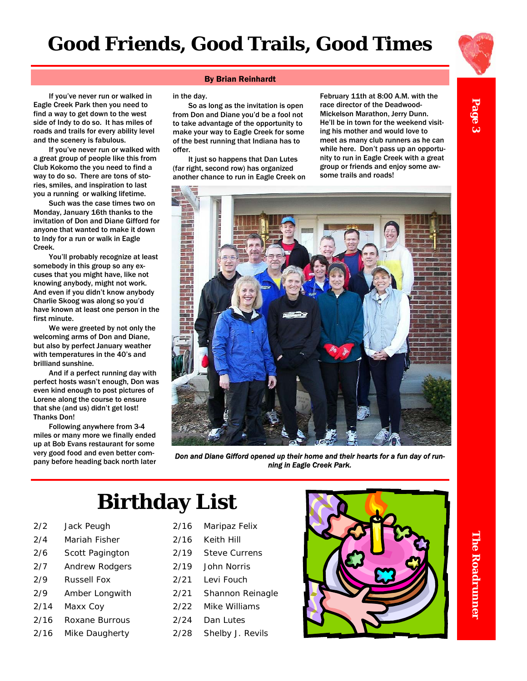



Page 3

If you've never run or walked in Eagle Creek Park then you need to find a way to get down to the west side of Indy to do so. It has miles of roads and trails for every ability level and the scenery is fabulous.

If you've never run or walked with a great group of people like this from Club Kokomo the you need to find a way to do so. There are tons of stories, smiles, and inspiration to last you a running or walking lifetime.

Such was the case times two on Monday, January 16th thanks to the invitation of Don and Diane Gifford for anyone that wanted to make it down to Indy for a run or walk in Eagle Creek.

You'll probably recognize at least somebody in this group so any excuses that you might have, like not knowing anybody, might not work. And even if you didn't know anybody Charlie Skoog was along so you'd have known at least one person in the first minute.

We were greeted by not only the welcoming arms of Don and Diane, but also by perfect January weather with temperatures in the 40's and brilliand sunshine.

And if a perfect running day with perfect hosts wasn't enough, Don was even kind enough to post pictures of Lorene along the course to ensure that she (and us) didn't get lost! Thanks Don!

Following anywhere from 3-4 miles or many more we finally ended up at Bob Evans restaurant for some very good food and even better company before heading back north later

#### By Brian Reinhardt

in the day.

So as long as the invitation is open from Don and Diane you'd be a fool not to take advantage of the opportunity to make your way to Eagle Creek for some of the best running that Indiana has to offer.

It just so happens that Dan Lutes (far right, second row) has organized another chance to run in Eagle Creek on February 11th at 8:00 A.M. with the race director of the Deadwood-Mickelson Marathon, Jerry Dunn. He'll be in town for the weekend visiting his mother and would love to meet as many club runners as he can while here. Don't pass up an opportunity to run in Eagle Creek with a great group or friends and enjoy some awsome trails and roads!



*Don and Diane Gifford opened up their home and their hearts for a fun day of running in Eagle Creek Park.* 

# **Birthday List**

- 2/2 Jack Peugh
- 2/4 Mariah Fisher
- 2/6 Scott Pagington
- 2/7 Andrew Rodgers
- 2/9 Russell Fox
- 2/9 Amber Longwith
- 2/14 Maxx Coy
- 2/16 Roxane Burrous
- 2/16 Mike Daugherty
- 2/16 Maripaz Felix
- 2/16 Keith Hill
- 2/19 Steve Currens
- 2/19 John Norris
- 2/21 Levi Fouch
- 2/21 Shannon Reinagle
- 2/22 Mike Williams
- 2/24 Dan Lutes
- 2/28 Shelby J. Revils

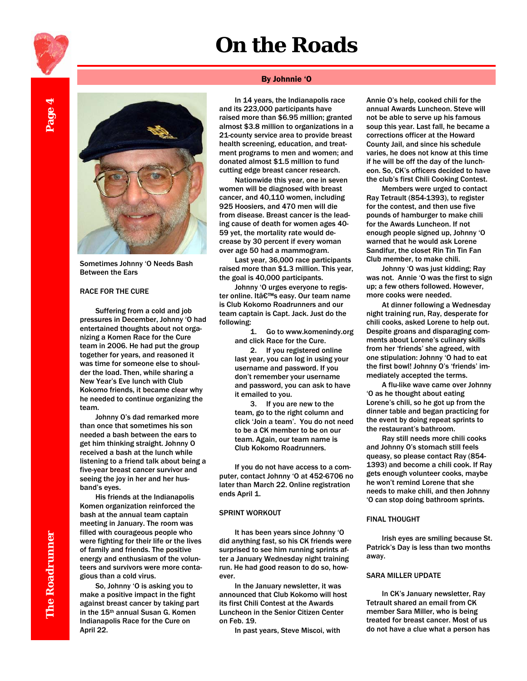# **On the Roads**



Sometimes Johnny 'O Needs Bash Between the Ears

#### RACE FOR THE CURE

Suffering from a cold and job pressures in December, Johnny 'O had entertained thoughts about not organizing a Komen Race for the Cure team in 2006. He had put the group together for years, and reasoned it was time for someone else to shoulder the load. Then, while sharing a New Year's Eve lunch with Club Kokomo friends, it became clear why he needed to continue organizing the team.

Johnny O's dad remarked more than once that sometimes his son needed a bash between the ears to get him thinking straight. Johnny O received a bash at the lunch while listening to a friend talk about being a five-year breast cancer survivor and seeing the joy in her and her husband's eyes.

His friends at the Indianapolis Komen organization reinforced the bash at the annual team captain meeting in January. The room was filled with courageous people who were fighting for their life or the lives of family and friends. The positive energy and enthusiasm of the volunteers and survivors were more contagious than a cold virus.

So, Johnny 'O is asking you to make a positive impact in the fight against breast cancer by taking part in the 15th annual Susan G. Komen Indianapolis Race for the Cure on April 22.

#### By Johnnie 'O

In 14 years, the Indianapolis race and its 223,000 participants have raised more than \$6.95 million; granted almost \$3.8 million to organizations in a 21-county service area to provide breast health screening, education, and treatment programs to men and women; and donated almost \$1.5 million to fund cutting edge breast cancer research.

Nationwide this year, one in seven women will be diagnosed with breast cancer, and 40,110 women, including 925 Hoosiers, and 470 men will die from disease. Breast cancer is the leading cause of death for women ages 40- 59 yet, the mortality rate would decrease by 30 percent if every woman over age 50 had a mammogram.

Last year, 36,000 race participants raised more than \$1.3 million. This year, the goal is 40,000 participants.

Johnny 'O urges everyone to register online. It's easy. Our team name is Club Kokomo Roadrunners and our team captain is Capt. Jack. Just do the following:

> 1. Go to www.komenindy.org and click Race for the Cure.

2. If you registered online last year, you can log in using your username and password. If you don't remember your username and password, you can ask to have it emailed to you.

3. If you are new to the team, go to the right column and click 'Join a team'. You do not need to be a CK member to be on our team. Again, our team name is Club Kokomo Roadrunners.

If you do not have access to a computer, contact Johnny 'O at 452-6706 no later than March 22. Online registration ends April 1.

#### SPRINT WORKOUT

It has been years since Johnny 'O did anything fast, so his CK friends were surprised to see him running sprints after a January Wednesday night training run. He had good reason to do so, however.

In the January newsletter, it was announced that Club Kokomo will host its first Chili Contest at the Awards Luncheon in the Senior Citizen Center on Feb. 19.

In past years, Steve Miscoi, with

Annie O's help, cooked chili for the annual Awards Luncheon. Steve will not be able to serve up his famous soup this year. Last fall, he became a corrections officer at the Howard County Jail, and since his schedule varies, he does not know at this time if he will be off the day of the luncheon. So, CK's officers decided to have the club's first Chili Cooking Contest.

Members were urged to contact Ray Tetrault (854-1393), to register for the contest, and then use five pounds of hamburger to make chili for the Awards Luncheon. If not enough people signed up, Johnny 'O warned that he would ask Lorene Sandifur, the closet Rin Tin Tin Fan Club member, to make chili.

Johnny 'O was just kidding; Ray was not. Annie 'O was the first to sign up; a few others followed. However, more cooks were needed.

At dinner following a Wednesday night training run, Ray, desperate for chili cooks, asked Lorene to help out. Despite groans and disparaging comments about Lorene's culinary skills from her 'friends' she agreed, with one stipulation: Johnny 'O had to eat the first bowl! Johnny O's 'friends' immediately accepted the terms.

A flu-like wave came over Johnny 'O as he thought about eating Lorene's chili, so he got up from the dinner table and began practicing for the event by doing repeat sprints to the restaurant's bathroom.

Ray still needs more chili cooks and Johnny O's stomach still feels queasy, so please contact Ray (854- 1393) and become a chili cook. If Ray gets enough volunteer cooks, maybe he won't remind Lorene that she needs to make chili, and then Johnny 'O can stop doing bathroom sprints.

#### FINAL THOUGHT

Irish eyes are smiling because St. Patrick's Day is less than two months away.

#### SARA MILLER UPDATE

In CK's January newsletter, Ray Tetrault shared an email from CK member Sara Miller, who is being treated for breast cancer. Most of us do not have a clue what a person has

 $_{\text{age}}$ 4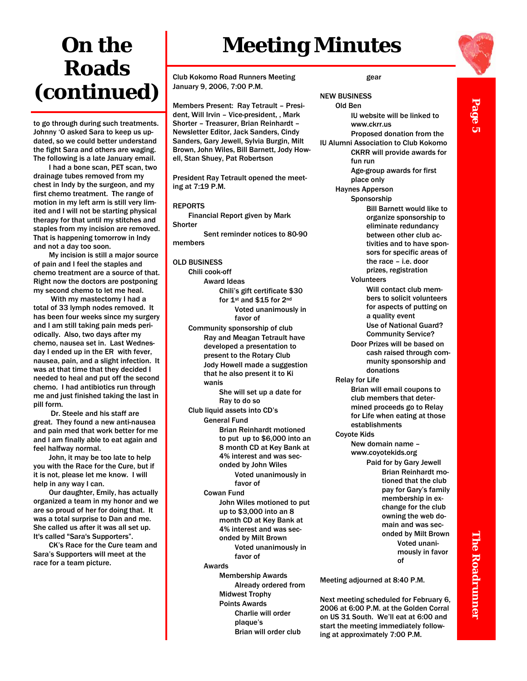# **On the Roads (continued)**

to go through during such treatments. Johnny 'O asked Sara to keep us updated, so we could better understand the fight Sara and others are waging. The following is a late January email.

I had a bone scan, PET scan, two drainage tubes removed from my chest in Indy by the surgeon, and my first chemo treatment. The range of motion in my left arm is still very limited and I will not be starting physical therapy for that until my stitches and staples from my incision are removed. That is happening tomorrow in Indy and not a day too soon.

My incision is still a major source of pain and I feel the staples and chemo treatment are a source of that. Right now the doctors are postponing my second chemo to let me heal.

 With my mastectomy I had a total of 33 lymph nodes removed. It has been four weeks since my surgery and I am still taking pain meds periodically. Also, two days after my chemo, nausea set in. Last Wednesday I ended up in the ER with fever, nausea, pain, and a slight infection. It was at that time that they decided I needed to heal and put off the second chemo. I had antibiotics run through me and just finished taking the last in pill form.

 Dr. Steele and his staff are great. They found a new anti-nausea and pain med that work better for me and I am finally able to eat again and feel halfway normal.

John, it may be too late to help you with the Race for the Cure, but if it is not, please let me know. I will help in any way I can.

Our daughter, Emily, has actually organized a team in my honor and we are so proud of her for doing that. It was a total surprise to Dan and me. She called us after it was all set up. It's called "Sara's Supporters".

CK's Race for the Cure team and Sara's Supporters will meet at the race for a team picture.

# **Meeting Minutes**

Club Kokomo Road Runners Meeting January 9, 2006, 7:00 P.M.

Members Present: Ray Tetrault – President, Will Irvin – Vice-president, , Mark Shorter – Treasurer, Brian Reinhardt – Newsletter Editor, Jack Sanders, Cindy Sanders, Gary Jewell, Sylvia Burgin, Milt Brown, John Wiles, Bill Barnett, Jody Howell, Stan Shuey, Pat Robertson

President Ray Tetrault opened the meeting at 7:19 P.M.

#### REPORTS

Financial Report given by Mark **Shorter** 

 Sent reminder notices to 80-90 members

#### OLD BUSINESS

Chili cook-off Award Ideas Chili's gift certificate \$30 for 1st and \$15 for 2nd Voted unanimously in favor of

Community sponsorship of club Ray and Meagan Tetrault have developed a presentation to present to the Rotary Club Jody Howell made a suggestion that he also present it to Ki wanis

> She will set up a date for Ray to do so

Club liquid assets into CD's General Fund Brian Reinhardt motioned to put up to \$6,000 into an 8 month CD at Key Bank at 4% interest and was seconded by John Wiles

> Voted unanimously in favor of

Cowan Fund

 John Wiles motioned to put up to \$3,000 into an 8

month CD at Key Bank at 4% interest and was sec-

onded by Milt Brown Voted unanimously in

favor of

#### Awards

 Membership Awards Already ordered from Midwest Trophy Points Awards Charlie will order plaque's Brian will order club

#### gear

#### NEW BUSINESS Old Ben

 IU website will be linked to www.ckrr.us Proposed donation from the IU Alumni Association to Club Kokomo CKRR will provide awards for fun run Age-group awards for first

> place only Haynes Apperson

 Sponsorship Bill Barnett would like to organize sponsorship to eliminate redundancy between other club activities and to have sponsors for specific areas of the race – i.e. door prizes, registration

Volunteers

- Will contact club members to solicit volunteers for aspects of putting on a quality event Use of National Guard? Community Service?
- Door Prizes will be based on cash raised through community sponsorship and donations

Relay for Life

 Brian will email coupons to club members that determined proceeds go to Relay for Life when eating at those establishments

Coyote Kids New domain name – www.coyotekids.org

Paid for by Gary Jewell Brian Reinhardt motioned that the club pay for Gary's family membership in exchange for the club owning the web domain and was seconded by Milt Brown Voted unanimously in favor of

Next meeting scheduled for February 6, 2006 at 6:00 P.M. at the Golden Corral on US 31 South. We'll eat at 6:00 and start the meeting immediately following at approximately 7:00 P.M.



Page 5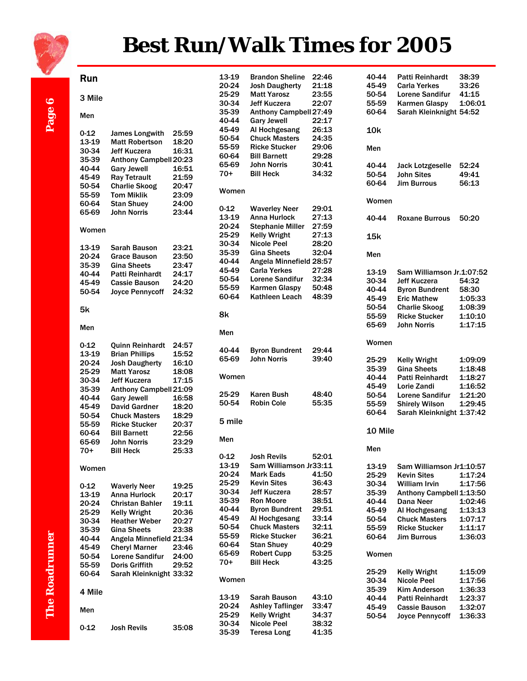

# **Best Run/Walk Times for 2005**

# Page 6

Run

| 3 Mile            |                                                 |                | ے<br>3         |
|-------------------|-------------------------------------------------|----------------|----------------|
| Men               |                                                 |                | 3<br>4         |
|                   |                                                 |                | 4              |
| 0-12<br>13-19     | <b>James Longwith</b><br><b>Matt Robertson</b>  | 25:59<br>18:20 | 5              |
| 30-34             | <b>Jeff Kuczera</b>                             | 16:31          | 5              |
| 35-39             | Anthony Campbell 20:23                          |                | 6              |
| 40-44             | <b>Gary Jewell</b>                              | 16:51          | 6              |
| 45-49             | <b>Ray Tetrault</b>                             | 21:59          | $\overline{7}$ |
| 50-54             | <b>Charlie Skoog</b>                            | 20:47          | W              |
| 55-59             | <b>Tom Miklik</b>                               | 23:09          |                |
| 60-64             | <b>Stan Shuey</b>                               | 24:00          | 0              |
| 65-69             | <b>John Norris</b>                              | 23:44          | 1              |
| Women             |                                                 |                | $\overline{2}$ |
|                   |                                                 |                | $\overline{2}$ |
| 13-19             | Sarah Bauson                                    | 23:21          | 3              |
| 20-24             | <b>Grace Bauson</b>                             | 23:50          | 3              |
| 35-39             | <b>Gina Sheets</b>                              | 23:47          | 4              |
| 40-44             | <b>Patti Reinhardt</b>                          | 24:17          | 4<br>5         |
| 45-49             | <b>Cassie Bauson</b>                            | 24:20          | 5              |
| 50-54             | <b>Joyce Pennycoff</b>                          | 24:32          | 6              |
|                   |                                                 |                |                |
| 5k                |                                                 |                | 8              |
| Men               |                                                 |                | M              |
|                   |                                                 |                |                |
| $0 - 12$<br>13-19 | <b>Quinn Reinhardt</b><br><b>Brian Phillips</b> | 24:57<br>15:52 | 4              |
| 20-24             | <b>Josh Daugherty</b>                           | 16:10          | 6              |
| 25-29             | <b>Matt Yarosz</b>                              | 18:08          |                |
| 30-34             | <b>Jeff Kuczera</b>                             | 17:15          | W              |
| 35-39             | Anthony Campbell 21:09                          |                |                |
| 40-44             | <b>Gary Jewell</b>                              | 16:58          | 2<br>5         |
| 45-49             | <b>David Gardner</b>                            | 18:20          |                |
| 50-54             | <b>Chuck Masters</b>                            | 18:29          | 5              |
| 55-59             | <b>Ricke Stucker</b>                            | 20:37          |                |
| 60-64<br>65-69    | <b>Bill Barnett</b><br><b>John Norris</b>       | 22:56<br>23:29 | M              |
| 70+               | <b>Bill Heck</b>                                | 25:33          |                |
|                   |                                                 |                | 0              |
| Women             |                                                 |                | 1              |
|                   |                                                 |                | 2              |
| $0 - 12$          | <b>Waverly Neer</b>                             | 19:25          | 2              |
| 13-19             | <b>Anna Hurlock</b>                             | 20:17          | 3<br>3         |
| 20-24             | <b>Christan Bahler</b>                          | 19:11          | 4              |
| 25-29             | <b>Kelly Wright</b>                             | 20:36          | 4              |
| 30-34             | <b>Heather Weber</b><br><b>Gina Sheets</b>      | 20:27          | 5              |
| 35-39<br>40-44    | Angela Minnefield 21:34                         | 23:38          | 5              |
| 45-49             | <b>Cheryl Marner</b>                            | 23:46          | 6              |
| 50-54             | <b>Lorene Sandifur</b>                          | 24:00          | 6              |
| 55-59             | Doris Griffith                                  | 29:52          | 7              |
| 60-64             | Sarah Kleinknight 33:32                         |                |                |
| 4 Mile            |                                                 |                | N              |
|                   |                                                 |                | 1<br>2         |
| Men               |                                                 |                | 2              |
| $0 - 12$          | <b>Josh Revils</b>                              | 35:08          | 3              |
|                   |                                                 |                |                |

| 13-19<br>20-24<br>25-29<br>30-34<br>35-39<br>40-44<br>45-49<br>50-54<br>55-59<br>60-64<br>65-69<br>$70+$         | <b>Brandon Sheline</b><br><b>Josh Daugherty</b><br><b>Matt Yarosz</b><br>Jeff Kuczera<br>Anthony Campbell 27:49<br><b>Gary Jewell</b><br>Al Hochgesang<br><b>Chuck Masters</b><br><b>Ricke Stucker</b><br><b>Bill Barnett</b><br><b>John Norris</b><br><b>Bill Heck</b>             | 22:46<br>21:18<br>23:55<br>22:07<br>22:17<br>26:13<br>24:35<br>29:06<br>29:28<br>30:41<br>34:32          |
|------------------------------------------------------------------------------------------------------------------|-------------------------------------------------------------------------------------------------------------------------------------------------------------------------------------------------------------------------------------------------------------------------------------|----------------------------------------------------------------------------------------------------------|
| Women                                                                                                            |                                                                                                                                                                                                                                                                                     |                                                                                                          |
| $0 - 12$<br>13-19<br>20-24<br>25-29<br>30-34<br>35-39<br>40-44<br>45-49<br>50-54<br>55-59<br>60-64               | <b>Waverley Neer</b><br>Anna Hurlock<br><b>Stephanie Miller</b><br><b>Kelly Wright</b><br><b>Nicole Peel</b><br><b>Gina Sheets</b><br>Angela Minnefield 28:57<br><b>Carla Yerkes</b><br>Lorene Sandifur<br><b>Karmen Glaspy</b><br>Kathleen Leach                                   | 29:01<br>27:13<br>27:59<br>27:13<br>28:20<br>32:04<br>27:28<br>32:34<br>50:48<br>48:39                   |
| 8k                                                                                                               |                                                                                                                                                                                                                                                                                     |                                                                                                          |
| Men                                                                                                              |                                                                                                                                                                                                                                                                                     |                                                                                                          |
| 40-44<br>65-69                                                                                                   | <b>Byron Bundrent</b><br><b>John Norris</b>                                                                                                                                                                                                                                         | 29:44<br>39:40                                                                                           |
| Women                                                                                                            |                                                                                                                                                                                                                                                                                     |                                                                                                          |
| 25-29<br>50-54                                                                                                   | Karen Bush<br><b>Robin Cole</b>                                                                                                                                                                                                                                                     | 48:40<br>55:35                                                                                           |
| 5 mile                                                                                                           |                                                                                                                                                                                                                                                                                     |                                                                                                          |
| Men                                                                                                              |                                                                                                                                                                                                                                                                                     |                                                                                                          |
| 0-12<br>13-19<br>20-24<br>25-29<br>30-34<br>35-39<br>40-44<br>45-49<br>50-54<br>55-59<br>60-64<br>65-69<br>$70+$ | Josh Revils<br>Sam Williamson Jr33:11<br><b>Mark Eads</b><br><b>Kevin Sites</b><br><b>Jeff Kuczera</b><br><b>Ron Moore</b><br><b>Byron Bundrent</b><br>Al Hochgesang<br><b>Chuck Masters</b><br><b>Ricke Stucker</b><br><b>Stan Shuey</b><br><b>Robert Cupp</b><br><b>Bill Heck</b> | 52:01<br>41:50<br>36:43<br>28:57<br>38:51<br>29:51<br>33:14<br>32:11<br>36:21<br>40:29<br>53:25<br>43:25 |
| Women                                                                                                            |                                                                                                                                                                                                                                                                                     |                                                                                                          |
| 13-19<br>20-24<br>25-29<br>30-34<br>35-39                                                                        | Sarah Bauson<br><b>Ashley Taflinger</b><br><b>Kelly Wright</b><br><b>Nicole Peel</b><br><b>Teresa Long</b>                                                                                                                                                                          | 43:10<br>33:47<br>34:37<br>38:32<br>41:35                                                                |

| 40-44<br>45-49<br>50-54<br>55-59<br>60-64                                     | Patti Reinhardt<br><b>Carla Yerkes</b><br>Lorene Sandifur<br><b>Karmen Glaspy</b><br>Sarah Kleinknight                                                                                                 | 38:39<br>33:26<br>41:15<br>1:06:01<br>54:52                               |
|-------------------------------------------------------------------------------|--------------------------------------------------------------------------------------------------------------------------------------------------------------------------------------------------------|---------------------------------------------------------------------------|
| 10k                                                                           |                                                                                                                                                                                                        |                                                                           |
| Men                                                                           |                                                                                                                                                                                                        |                                                                           |
| 40-44<br>50-54<br>60-64                                                       | <b>Jack Lotzgeselle</b><br><b>John Sites</b><br><b>Jim Burrous</b>                                                                                                                                     | 52:24<br>49:41<br>56:13                                                   |
| Women                                                                         |                                                                                                                                                                                                        |                                                                           |
| 40-44                                                                         | <b>Roxane Burrous</b>                                                                                                                                                                                  | 50:20                                                                     |
| 15k                                                                           |                                                                                                                                                                                                        |                                                                           |
| Men                                                                           |                                                                                                                                                                                                        |                                                                           |
| 13-19<br>30-34<br>40-44<br>45-49<br>50-54<br>55-59<br>65-69                   | Sam Williamson Jr.1:07:52<br><b>Jeff Kuczera</b><br><b>Byron Bundrent</b><br><b>Eric Mathew</b><br><b>Charlie Skoog</b><br><b>Ricke Stucker</b><br><b>John Norris</b>                                  | 54:32<br>58:30<br>1:05:33<br>1:08:39<br>1:10:10<br>1:17:15                |
| Women                                                                         |                                                                                                                                                                                                        |                                                                           |
| 25-29<br>35-39<br>40-44<br>45-49<br>50-54<br>55-59<br>60-64                   | <b>Kelly Wright</b><br><b>Gina Sheets</b><br><b>Patti Reinhardt</b><br>Lorie Zandi<br><b>Lorene Sandifur</b><br><b>Shirely Wilson</b><br>Sarah Kleinknight                                             | 1:09:09<br>1:18:48<br>1:18:27<br>1:16:52<br>1:21:20<br>1:29:45<br>1:37:42 |
| 10 Mile                                                                       |                                                                                                                                                                                                        |                                                                           |
| Men                                                                           |                                                                                                                                                                                                        |                                                                           |
| 13-19<br>25-29<br>30-34<br>35-39<br>40-44<br>45-49<br>50-54<br>55-59<br>60-64 | Sam Williamson Jr1:10:57<br><b>Kevin Sites</b><br><b>William Irvin</b><br>Anthony Campbell 1:13:50<br>Dana Neer<br>Al Hochgesang<br><b>Chuck Masters</b><br><b>Ricke Stucker</b><br><b>Jim Burrous</b> | 1:17:24<br>1:17:56<br>1:02:46<br>1:13:13<br>1:07:17<br>1:11:17<br>1:36:03 |
| Women                                                                         |                                                                                                                                                                                                        |                                                                           |
| 25-29<br>30-34<br>35-39<br>40-44<br>45-49<br>50-54                            | <b>Kelly Wright</b><br><b>Nicole Peel</b><br><b>Kim Anderson</b><br><b>Patti Reinhardt</b><br><b>Cassie Bauson</b><br><b>Joyce Pennycoff</b>                                                           | 1:15:09<br>1:17:56<br>1:36:33<br>1:23:37<br>1:32:07<br>1:36:33            |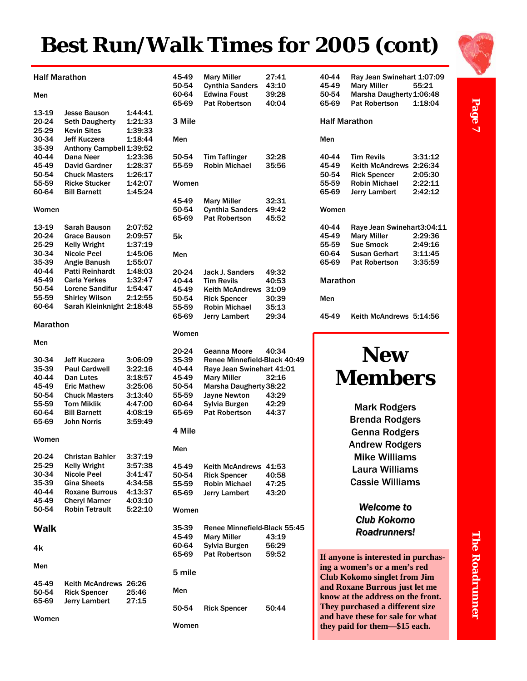# **Best Run/Walk Times for 2005 (cont)**



| 40-44<br>45-49<br>50-54<br>65-69          | Ray Jean Swinehart 1:07:09<br><b>Mary Miller</b><br>Marsha Daugherty 1:06:48<br><b>Pat Robertson</b>          | 55:21<br>1:18:04                         |
|-------------------------------------------|---------------------------------------------------------------------------------------------------------------|------------------------------------------|
| <b>Half Marathon</b>                      |                                                                                                               |                                          |
| Men                                       |                                                                                                               |                                          |
| 40-44<br>45-49<br>50-54<br>55-59<br>65-69 | <b>Tim Revils</b><br>Keith McAndrews 2:26:34<br><b>Rick Spencer</b><br><b>Robin Michael</b><br>Jerry Lambert  | 3:31:12<br>2:05:30<br>2:22:11<br>2:42:12 |
| Women                                     |                                                                                                               |                                          |
| 40-44<br>45-49<br>55-59<br>60-64<br>65-69 | Raye Jean Swinehart3:04:11<br><b>Mary Miller</b><br><b>Sue Smock</b><br>Susan Gerhart<br><b>Pat Robertson</b> | 2:29:36<br>2:49:16<br>3:11:45<br>3:35:59 |
| Marathon                                  |                                                                                                               |                                          |
| Men                                       |                                                                                                               |                                          |
| 45-49                                     | Keith McAndrews 5:14:56                                                                                       |                                          |
|                                           |                                                                                                               |                                          |

### **New Members**

Mark Rodgers Brenda Rodgers Genna Rodgers Andrew Rodgers Mike Williams Laura Williams Cassie Williams

*Welcome to Welcome to Club Kokomo Club Kokomo Roadrunners! Roadrunners!*

**If anyone is interested in purchasing a women's or a men's red Club Kokomo singlet from Jim and Roxane Burrous just let me know at the address on the front. They purchased a different size and have these for sale for what they paid for them—\$15 each.** 

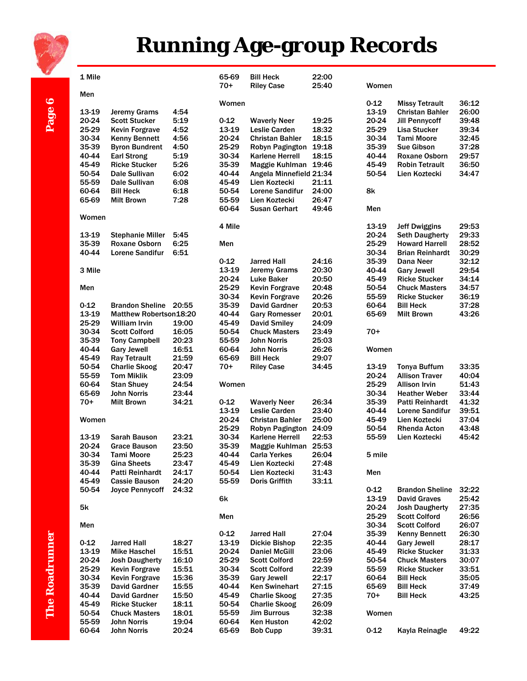

# **Running Age-group Records**

| 1 Mile   |                         |       | 65-69<br>$70+$ | <b>Bill Heck</b><br><b>Riley Case</b> | 22:00<br>25:40 | Women    |                        |       |
|----------|-------------------------|-------|----------------|---------------------------------------|----------------|----------|------------------------|-------|
| Men      |                         |       | Women          |                                       |                | $0 - 12$ | <b>Missy Tetrault</b>  | 36:12 |
| 13-19    | <b>Jeremy Grams</b>     | 4:54  |                |                                       |                | 13-19    | <b>Christan Bahler</b> | 26:00 |
| 20-24    | <b>Scott Stucker</b>    | 5:19  | $0 - 12$       | <b>Waverly Neer</b>                   | 19:25          | 20-24    | <b>Jill Pennycoff</b>  | 39:48 |
| 25-29    | <b>Kevin Forgrave</b>   | 4:52  | 13-19          | <b>Leslie Carden</b>                  | 18:32          | 25-29    | <b>Lisa Stucker</b>    | 39:34 |
| 30-34    | <b>Kenny Bennett</b>    | 4:56  | 20-24          | <b>Christan Bahler</b>                | 18:15          | 30-34    | <b>Tami Moore</b>      | 32:45 |
|          |                         |       | 25-29          |                                       |                | 35-39    |                        | 37:28 |
| 35-39    | <b>Byron Bundrent</b>   | 4:50  |                | Robyn Pagington                       | 19:18          |          | <b>Sue Gibson</b>      |       |
| 40-44    | <b>Earl Strong</b>      | 5:19  | 30-34          | <b>Karlene Herrell</b>                | 18:15          | 40-44    | Roxane Osborn          | 29:57 |
| 45-49    | <b>Ricke Stucker</b>    | 5:26  | 35-39          | Maggie Kuhlman 19:46                  |                | 45-49    | <b>Robin Tetrault</b>  | 36:50 |
| 50-54    | Dale Sullivan           | 6:02  | 40-44          | Angela Minnefield 21:34               |                | 50-54    | Lien Koztecki          | 34:47 |
| 55-59    | Dale Sullivan           | 6:08  | 45-49          | Lien Koztecki                         | 21:11          |          |                        |       |
| 60-64    | <b>Bill Heck</b>        | 6:18  | 50-54          | <b>Lorene Sandifur</b>                | 24:00          | 8k       |                        |       |
| 65-69    | Milt Brown              | 7:28  | 55-59          | Lien Koztecki                         | 26:47          |          |                        |       |
| Women    |                         |       | 60-64          | <b>Susan Gerhart</b>                  | 49:46          | Men      |                        |       |
|          |                         |       | 4 Mile         |                                       |                | 13-19    | Jeff Dwiggins          | 29:53 |
| 13-19    | <b>Stephanie Miller</b> | 5:45  |                |                                       |                | 20-24    | <b>Seth Daugherty</b>  | 29:33 |
| 35-39    | <b>Roxane Osborn</b>    | 6:25  | Men            |                                       |                | 25-29    | <b>Howard Harrell</b>  | 28:52 |
| 40-44    | Lorene Sandifur         | 6:51  |                |                                       |                | 30-34    | <b>Brian Reinhardt</b> | 30:29 |
|          |                         |       | $0 - 12$       | <b>Jarred Hall</b>                    | 24:16          | 35-39    | Dana Neer              | 32:12 |
| 3 Mile   |                         |       | 13-19          | <b>Jeremy Grams</b>                   | 20:30          | 40-44    | <b>Gary Jewell</b>     | 29:54 |
|          |                         |       | 20-24          | <b>Luke Baker</b>                     | 20:50          | 45-49    | <b>Ricke Stucker</b>   | 34:14 |
| Men      |                         |       | 25-29          | <b>Kevin Forgrave</b>                 | 20:48          | 50-54    | <b>Chuck Masters</b>   | 34:57 |
|          |                         |       | 30-34          | <b>Kevin Forgrave</b>                 | 20:26          | 55-59    | <b>Ricke Stucker</b>   | 36:19 |
| $0 - 12$ | <b>Brandon Sheline</b>  | 20:55 | 35-39          | David Gardner                         | 20:53          | 60-64    | <b>Bill Heck</b>       | 37:28 |
| 13-19    | Matthew Robertson18:20  |       | 40-44          | <b>Gary Romesser</b>                  | 20:01          | 65-69    | <b>Milt Brown</b>      | 43:26 |
| 25-29    | <b>William Irvin</b>    | 19:00 | 45-49          | <b>David Smiley</b>                   | 24:09          |          |                        |       |
| 30-34    | <b>Scott Colford</b>    | 16:05 | 50-54          | <b>Chuck Masters</b>                  | 23:49          | $70+$    |                        |       |
| 35-39    |                         | 20:23 | 55-59          | <b>John Norris</b>                    | 25:03          |          |                        |       |
|          | <b>Tony Campbell</b>    |       |                |                                       |                |          |                        |       |
| 40-44    | <b>Gary Jewell</b>      | 16:51 | 60-64          | John Norris                           | 26:26          | Women    |                        |       |
| 45-49    | <b>Ray Tetrault</b>     | 21:59 | 65-69          | <b>Bill Heck</b>                      | 29:07          |          |                        |       |
| 50-54    | <b>Charlie Skoog</b>    | 20:47 | $70+$          | <b>Riley Case</b>                     | 34:45          | 13-19    | <b>Tonya Buffum</b>    | 33:35 |
| 55-59    | <b>Tom Miklik</b>       | 23:09 |                |                                       |                | 20-24    | <b>Allison Traver</b>  | 40:04 |
| 60-64    | <b>Stan Shuey</b>       | 24:54 | Women          |                                       |                | 25-29    | <b>Allison Irvin</b>   | 51:43 |
| 65-69    | <b>John Norris</b>      | 23:44 |                |                                       |                | 30-34    | <b>Heather Weber</b>   | 33:44 |
|          |                         |       |                |                                       |                |          |                        |       |
| $70+$    | <b>Milt Brown</b>       | 34:21 | $0 - 12$       | <b>Waverly Neer</b>                   | 26:34          | 35-39    | Patti Reinhardt        | 41:32 |
|          |                         |       | 13-19          | Leslie Carden                         | 23:40          | 40-44    | <b>Lorene Sandifur</b> | 39:51 |
| Women    |                         |       | 20-24          | <b>Christan Bahler</b>                | 25:00          | 45-49    | Lien Koztecki          | 37:04 |
|          |                         |       | 25-29          | Robyn Pagington 24:09                 |                | 50-54    | <b>Rhenda Acton</b>    | 43:48 |
| 13-19    | <b>Sarah Bauson</b>     | 23:21 | 30-34          | <b>Karlene Herrell</b>                | 22:53          | 55-59    | Lien Koztecki          | 45:42 |
| 20-24    | <b>Grace Bauson</b>     | 23:50 | 35-39          | Maggie Kuhlman 25:53                  |                |          |                        |       |
| 30-34    | <b>Tami Moore</b>       | 25:23 | 40-44          | <b>Carla Yerkes</b>                   | 26:04          | 5 mile   |                        |       |
| 35-39    | <b>Gina Sheets</b>      | 23:47 | 45-49          | Lien Koztecki                         | 27:48          |          |                        |       |
| 40-44    | <b>Patti Reinhardt</b>  | 24:17 | 50-54          | Lien Koztecki                         | 31:43          | Men      |                        |       |
|          | <b>Cassie Bauson</b>    |       |                |                                       |                |          |                        |       |
| 45-49    |                         | 24:20 | 55-59          | <b>Doris Griffith</b>                 | 33:11          |          |                        |       |
| 50-54    | Joyce Pennycoff         | 24:32 |                |                                       |                | $0 - 12$ | <b>Brandon Sheline</b> | 32:22 |
|          |                         |       | 6k             |                                       |                | 13-19    | <b>David Graves</b>    | 25:42 |
| 5k       |                         |       |                |                                       |                | 20-24    | <b>Josh Daugherty</b>  | 27:35 |
|          |                         |       | Men            |                                       |                | 25-29    | <b>Scott Colford</b>   | 26:56 |
| Men      |                         |       |                |                                       |                | 30-34    | <b>Scott Colford</b>   | 26:07 |
|          |                         |       | $0 - 12$       | <b>Jarred Hall</b>                    | 27:04          | 35-39    | <b>Kenny Bennett</b>   | 26:30 |
| $0 - 12$ | <b>Jarred Hall</b>      | 18:27 | 13-19          | <b>Dickie Bishop</b>                  | 22:35          | 40-44    | <b>Gary Jewell</b>     | 28:17 |
| 13-19    | <b>Mike Haschel</b>     | 15:51 | 20-24          | <b>Daniel McGill</b>                  | 23:06          | 45-49    | <b>Ricke Stucker</b>   | 31:33 |
| 20-24    | <b>Josh Daugherty</b>   | 16:10 | 25-29          | <b>Scott Colford</b>                  | 22:59          | 50-54    | <b>Chuck Masters</b>   | 30:07 |
| 25-29    | <b>Kevin Forgrave</b>   | 15:51 | 30-34          | <b>Scott Colford</b>                  | 22:39          | 55-59    | <b>Ricke Stucker</b>   | 33:51 |
| 30-34    | <b>Kevin Forgrave</b>   | 15:36 | 35-39          | <b>Gary Jewell</b>                    | 22:17          | 60-64    | <b>Bill Heck</b>       | 35:05 |
| 35-39    | David Gardner           | 15:55 | 40-44          | <b>Ken Swinehart</b>                  | 27:15          | 65-69    | <b>Bill Heck</b>       | 37:49 |
| 40-44    | <b>David Gardner</b>    | 15:50 | 45-49          | <b>Charlie Skoog</b>                  | 27:35          | $70+$    | <b>Bill Heck</b>       | 43:25 |
| 45-49    | <b>Ricke Stucker</b>    | 18:11 | 50-54          | <b>Charlie Skoog</b>                  | 26:09          |          |                        |       |
| 50-54    | <b>Chuck Masters</b>    | 18:01 | 55-59          | <b>Jim Burrous</b>                    | 32:38          | Women    |                        |       |
| 55-59    | <b>John Norris</b>      | 19:04 | 60-64          | <b>Ken Huston</b>                     | 42:02          |          |                        |       |

Page 6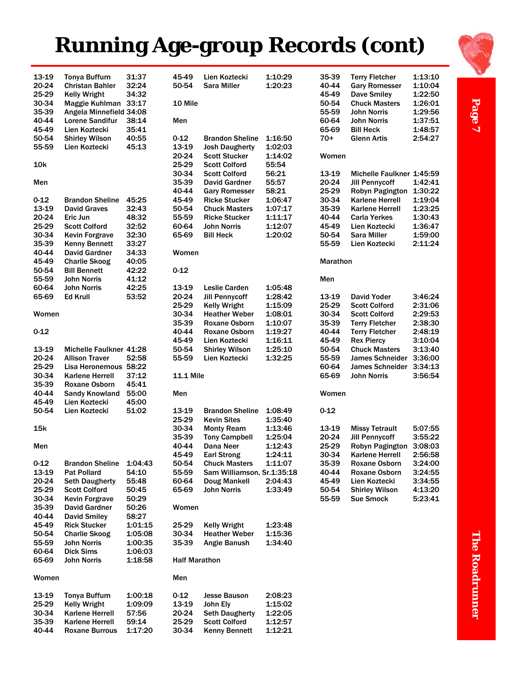# **Running Age-group Records (cont)**



Page 7

| 13-19             | <b>Tonya Buffum</b>                           | 31:37   | 45-49                | Lien Koztecki                                      | 1:10:29 | 35-39          | <b>Terry Fletcher</b>                 | 1:13:10            |
|-------------------|-----------------------------------------------|---------|----------------------|----------------------------------------------------|---------|----------------|---------------------------------------|--------------------|
| 20-24             | <b>Christan Bahler</b>                        | 32:24   | 50-54                | Sara Miller                                        | 1:20:23 | 40-44          | <b>Gary Romesser</b>                  | 1:10:04            |
| 25-29             | <b>Kelly Wright</b>                           | 34:32   |                      |                                                    |         | 45-49          | <b>Dave Smiley</b>                    | 1:22:50            |
| 30-34             | Maggie Kuhlman 33:17                          |         | 10 Mile              |                                                    |         | 50-54          | <b>Chuck Masters</b>                  | 1:26:01            |
| 35-39             | Angela Minnefield 34:08                       |         |                      |                                                    |         | 55-59          | <b>John Norris</b>                    | 1:29:56            |
| 40-44             | <b>Lorene Sandifur</b>                        | 38:14   | Men                  |                                                    |         | 60-64          | John Norris                           | 1:37:51            |
| 45-49             | Lien Koztecki                                 | 35:41   |                      |                                                    |         | 65-69          | <b>Bill Heck</b>                      | 1:48:57            |
| 50-54             | <b>Shirley Wilson</b>                         | 40:55   | $0 - 12$             | <b>Brandon Sheline</b>                             | 1:16:50 | 70+            | <b>Glenn Artis</b>                    | 2:54:27            |
| 55-59             | Lien Koztecki                                 | 45:13   | 13-19                | <b>Josh Daugherty</b>                              | 1:02:03 |                |                                       |                    |
|                   |                                               |         | 20-24                | <b>Scott Stucker</b>                               | 1:14:02 | Women          |                                       |                    |
| <b>10k</b>        |                                               |         | 25-29                | <b>Scott Colford</b>                               | 55:54   |                |                                       |                    |
|                   |                                               |         | 30-34                | <b>Scott Colford</b>                               | 56:21   | 13-19          | Michelle Faulkner 1:45:59             |                    |
| Men               |                                               |         | 35-39                | David Gardner                                      | 55:57   | 20-24          | <b>Jill Pennycoff</b>                 | 1:42:41            |
|                   |                                               |         | 40-44                | <b>Gary Romesser</b>                               | 58:21   | 25-29          | Robyn Pagington                       | 1:30:22            |
| $0 - 12$          | <b>Brandon Sheline</b>                        | 45:25   | 45-49                | <b>Ricke Stucker</b>                               | 1:06:47 | 30-34          | <b>Karlene Herrell</b>                | 1:19:04            |
| 13-19             | <b>David Graves</b>                           | 32:43   | 50-54                | <b>Chuck Masters</b>                               | 1:07:17 | 35-39          | <b>Karlene Herrell</b>                | 1:23:25            |
| 20-24             | Eric Jun                                      | 48:32   | 55-59                | <b>Ricke Stucker</b>                               | 1:11:17 | 40-44          | <b>Carla Yerkes</b>                   | 1:30:43            |
| 25-29             | <b>Scott Colford</b>                          | 32:52   | 60-64                | John Norris                                        | 1:12:07 | 45-49          | Lien Koztecki                         | 1:36:47            |
| 30-34             | <b>Kevin Forgrave</b>                         | 32:30   | 65-69                | <b>Bill Heck</b>                                   | 1:20:02 | 50-54          | <b>Sara Miller</b>                    | 1:59:00            |
| 35-39             | <b>Kenny Bennett</b>                          | 33:27   |                      |                                                    |         | 55-59          | Lien Koztecki                         | 2:11:24            |
| 40-44             | <b>David Gardner</b>                          | 34:33   | Women                |                                                    |         |                |                                       |                    |
| 45-49             | <b>Charlie Skoog</b>                          | 40:05   |                      |                                                    |         | Marathon       |                                       |                    |
| 50-54             | <b>Bill Bennett</b>                           | 42:22   | $0 - 12$             |                                                    |         |                |                                       |                    |
| 55-59             | <b>John Norris</b>                            | 41:12   |                      |                                                    |         | Men            |                                       |                    |
| 60-64             | John Norris                                   | 42:25   | 13-19                | Leslie Carden                                      | 1:05:48 |                |                                       |                    |
| 65-69             | <b>Ed Krull</b>                               | 53:52   | 20-24                | <b>Jill Pennycoff</b>                              | 1:28:42 | 13-19          | <b>David Yoder</b>                    | 3:46:24            |
|                   |                                               |         | 25-29                | <b>Kelly Wright</b>                                | 1:15:09 | 25-29          | <b>Scott Colford</b>                  | 2:31:06            |
| Women             |                                               |         | 30-34                | <b>Heather Weber</b>                               | 1:08:01 | 30-34          | <b>Scott Colford</b>                  | 2:29:53            |
|                   |                                               |         | 35-39                | <b>Roxane Osborn</b>                               | 1:10:07 | 35-39          | <b>Terry Fletcher</b>                 | 2:38:30            |
| $0 - 12$          |                                               |         | 40-44                | Roxane Osborn                                      | 1:19:27 | 40-44          | <b>Terry Fletcher</b>                 | 2:48:19            |
|                   |                                               |         | 45-49                | Lien Koztecki                                      | 1:16:11 | 45-49          | <b>Rex Piercy</b>                     | 3:10:04            |
| 13-19             | Michelle Faulkner 41:28                       |         | 50-54                | <b>Shirley Wilson</b>                              | 1:25:10 | 50-54          | <b>Chuck Masters</b>                  | 3:13:40            |
| 20-24             | <b>Allison Traver</b>                         | 52:58   | 55-59                | Lien Koztecki                                      | 1:32:25 | 55-59          | <b>James Schneider</b>                | 3:36:00            |
| 25-29             | Lisa Heronemous 58:22                         |         |                      |                                                    |         | 60-64          | <b>James Schneider</b>                | 3:34:13            |
| 30-34             | <b>Karlene Herrell</b>                        | 37:12   | <b>11.1 Mile</b>     |                                                    |         | 65-69          | <b>John Norris</b>                    | 3:56:54            |
| 35-39             | <b>Roxane Osborn</b>                          | 45:41   |                      |                                                    |         |                |                                       |                    |
| 40-44             | <b>Sandy Knowland</b>                         | 55:00   | Men                  |                                                    |         | Women          |                                       |                    |
| 45-49             | Lien Koztecki                                 | 45:00   |                      |                                                    |         |                |                                       |                    |
| 50-54             | Lien Koztecki                                 | 51:02   | 13-19                | <b>Brandon Sheline</b>                             | 1:08:49 | $0 - 12$       |                                       |                    |
|                   |                                               |         | 25-29                | <b>Kevin Sites</b>                                 | 1:35:40 |                |                                       |                    |
| 15k               |                                               |         | 30-34                | <b>Monty Ream</b>                                  | 1:13:46 | 13-19          | <b>Missy Tetrault</b>                 | 5:07:55            |
|                   |                                               |         | 35-39                | <b>Tony Campbell</b>                               | 1:25:04 | 20-24          | <b>Jill Pennycoff</b>                 | 3:55:22            |
| Men               |                                               |         | 40-44                | Dana Neer                                          | 1:12:43 | 25-29          | Robyn Pagington                       | 3:08:03            |
|                   |                                               | 1:04:43 | 45-49                | <b>Earl Strong</b>                                 | 1:24:11 | 30-34<br>35-39 | Karlene Herrell                       | 2:56:58            |
| $0 - 12$<br>13-19 | <b>Brandon Sheline</b><br><b>Pat Pollard</b>  | 54:10   | 50-54<br>55-59       | <b>Chuck Masters</b><br>Sam Williamson, Sr.1:35:18 | 1:11:07 | 40-44          | Roxane Osborn<br><b>Roxane Osborn</b> | 3:24:00<br>3:24:55 |
| 20-24             |                                               | 55:48   | 60-64                |                                                    | 2:04:43 | 45-49          | Lien Koztecki                         | 3:34:55            |
| 25-29             | <b>Seth Daugherty</b><br><b>Scott Colford</b> | 50:45   | 65-69                | Doug Mankell<br><b>John Norris</b>                 | 1:33:49 | 50-54          | <b>Shirley Wilson</b>                 | 4:13:20            |
| 30-34             | <b>Kevin Forgrave</b>                         | 50:29   |                      |                                                    |         | 55-59          | <b>Sue Smock</b>                      | 5:23:41            |
| 35-39             | <b>David Gardner</b>                          | 50:26   | Women                |                                                    |         |                |                                       |                    |
| 40-44             | <b>David Smiley</b>                           | 58:27   |                      |                                                    |         |                |                                       |                    |
| 45-49             | <b>Rick Stucker</b>                           | 1:01:15 | 25-29                | <b>Kelly Wright</b>                                | 1:23:48 |                |                                       |                    |
| 50-54             | <b>Charlie Skoog</b>                          | 1:05:08 | 30-34                | <b>Heather Weber</b>                               | 1:15:36 |                |                                       |                    |
| 55-59             | John Norris                                   | 1:00:35 | 35-39                | Angie Banush                                       | 1:34:40 |                |                                       |                    |
| 60-64             | <b>Dick Sims</b>                              | 1:06:03 |                      |                                                    |         |                |                                       |                    |
| 65-69             | John Norris                                   | 1:18:58 | <b>Half Marathon</b> |                                                    |         |                |                                       |                    |
|                   |                                               |         |                      |                                                    |         |                |                                       |                    |
| Women             |                                               |         | Men                  |                                                    |         |                |                                       |                    |
| 13-19             | <b>Tonya Buffum</b>                           | 1:00:18 | $0 - 12$             | <b>Jesse Bauson</b>                                | 2:08:23 |                |                                       |                    |
| 25-29             | <b>Kelly Wright</b>                           | 1:09:09 | 13-19                | John Ely                                           | 1:15:02 |                |                                       |                    |
| 30-34             | <b>Karlene Herrell</b>                        | 57:56   | 20-24                | <b>Seth Daugherty</b>                              | 1:22:05 |                |                                       |                    |
| 35-39             | <b>Karlene Herrell</b>                        | 59:14   | 25-29                | <b>Scott Colford</b>                               | 1:12:57 |                |                                       |                    |

30-34 Kenny Bennett 1:12:21

40-44 Roxane Burrous 1:17:20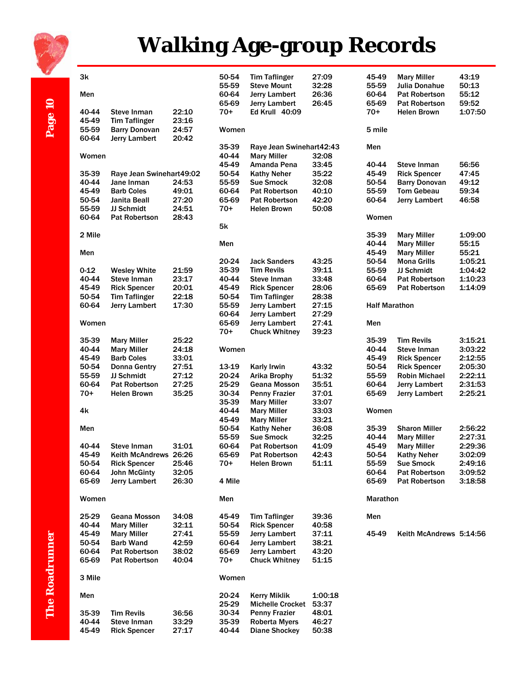

# **Walking Age-group Records**

|                       | 3k       |                          |       | 50-54  | <b>Tim Taflinger</b>     | 27:09   | 45-49                | <b>Mary Miller</b>      | 43:19   |
|-----------------------|----------|--------------------------|-------|--------|--------------------------|---------|----------------------|-------------------------|---------|
|                       |          |                          |       | 55-59  | <b>Steve Mount</b>       | 32:28   | 55-59                | <b>Julia Donahue</b>    | 50:13   |
|                       | Men      |                          |       | 60-64  | Jerry Lambert            | 26:36   | 60-64                | <b>Pat Robertson</b>    | 55:12   |
|                       |          |                          |       | 65-69  | Jerry Lambert            | 26:45   | 65-69                | <b>Pat Robertson</b>    | 59:52   |
|                       |          |                          |       |        |                          |         |                      |                         |         |
|                       | 40-44    | Steve Inman              | 22:10 | $70+$  | Ed Krull 40:09           |         | $70+$                | <b>Helen Brown</b>      | 1:07:50 |
|                       | 45-49    | <b>Tim Taflinger</b>     | 23:16 |        |                          |         |                      |                         |         |
| Page 10               | 55-59    | <b>Barry Donovan</b>     | 24:57 | Women  |                          |         | 5 mile               |                         |         |
|                       | 60-64    | Jerry Lambert            | 20:42 |        |                          |         |                      |                         |         |
|                       |          |                          |       | 35-39  | Raye Jean Swinehart42:43 |         | Men                  |                         |         |
|                       | Women    |                          |       | 40-44  | <b>Mary Miller</b>       | 32:08   |                      |                         |         |
|                       |          |                          |       | 45-49  | Amanda Pena              | 33:45   | 40-44                | Steve Inman             | 56:56   |
|                       | 35-39    | Raye Jean Swinehart49:02 |       | 50-54  | <b>Kathy Neher</b>       | 35:22   | 45-49                | <b>Rick Spencer</b>     | 47:45   |
|                       | 40-44    | Jane Inman               | 24:53 | 55-59  | Sue Smock                | 32:08   | 50-54                | <b>Barry Donovan</b>    | 49:12   |
|                       | 45-49    | <b>Barb Coles</b>        | 49:01 | 60-64  | <b>Pat Robertson</b>     | 40:10   | 55-59                | <b>Tom Gebeau</b>       | 59:34   |
|                       | 50-54    | Janita Beall             | 27:20 | 65-69  | <b>Pat Robertson</b>     | 42:20   | 60-64                | <b>Jerry Lambert</b>    | 46:58   |
|                       | 55-59    | <b>JJ Schmidt</b>        | 24:51 | $70+$  | <b>Helen Brown</b>       | 50:08   |                      |                         |         |
|                       | 60-64    | <b>Pat Robertson</b>     | 28:43 |        |                          |         | Women                |                         |         |
|                       |          |                          |       | 5k     |                          |         |                      |                         |         |
|                       |          |                          |       |        |                          |         |                      |                         |         |
|                       | 2 Mile   |                          |       |        |                          |         | 35-39                | <b>Mary Miller</b>      | 1:09:00 |
|                       |          |                          |       | Men    |                          |         | 40-44                | <b>Mary Miller</b>      | 55:15   |
|                       | Men      |                          |       |        |                          |         | 45-49                | <b>Mary Miller</b>      | 55:21   |
|                       |          |                          |       | 20-24  | <b>Jack Sanders</b>      | 43:25   | 50-54                | <b>Mona Grills</b>      | 1:05:21 |
|                       | $0 - 12$ | <b>Wesley White</b>      | 21:59 | 35-39  | <b>Tim Revils</b>        | 39:11   | 55-59                | JJ Schmidt              | 1:04:42 |
|                       | 40-44    | <b>Steve Inman</b>       | 23:17 | 40-44  | Steve Inman              | 33:48   | 60-64                | <b>Pat Robertson</b>    | 1:10:23 |
|                       | 45-49    | <b>Rick Spencer</b>      | 20:01 | 45-49  | <b>Rick Spencer</b>      | 28:06   | 65-69                | <b>Pat Robertson</b>    | 1:14:09 |
|                       | 50-54    | <b>Tim Taflinger</b>     | 22:18 | 50-54  | <b>Tim Taflinger</b>     | 28:38   |                      |                         |         |
|                       | 60-64    | <b>Jerry Lambert</b>     | 17:30 | 55-59  | <b>Jerry Lambert</b>     | 27:15   | <b>Half Marathon</b> |                         |         |
|                       |          |                          |       | 60-64  | Jerry Lambert            | 27:29   |                      |                         |         |
|                       | Women    |                          |       | 65-69  | Jerry Lambert            | 27:41   | Men                  |                         |         |
|                       |          |                          |       | $70+$  | <b>Chuck Whitney</b>     | 39:23   |                      |                         |         |
|                       | 35-39    | <b>Mary Miller</b>       | 25:22 |        |                          |         | 35-39                | <b>Tim Revils</b>       | 3:15:21 |
|                       | 40-44    | <b>Mary Miller</b>       | 24:18 | Women  |                          |         | 40-44                | Steve Inman             | 3:03:22 |
|                       | 45-49    | <b>Barb Coles</b>        | 33:01 |        |                          |         | 45-49                | <b>Rick Spencer</b>     | 2:12:55 |
|                       | 50-54    | <b>Donna Gentry</b>      | 27:51 | 13-19  | Karly Irwin              | 43:32   | 50-54                | <b>Rick Spencer</b>     | 2:05:30 |
|                       | 55-59    | JJ Schmidt               | 27:12 | 20-24  | Arika Brophy             | 51:32   | 55-59                | <b>Robin Michael</b>    | 2:22:11 |
|                       | 60-64    | <b>Pat Robertson</b>     | 27:25 | 25-29  | Geana Mosson             | 35:51   | 60-64                | Jerry Lambert           | 2:31:53 |
|                       | $70+$    | <b>Helen Brown</b>       | 35:25 | 30-34  | <b>Penny Frazier</b>     | 37:01   | 65-69                | Jerry Lambert           | 2:25:21 |
|                       |          |                          |       | 35-39  | <b>Mary Miller</b>       | 33:07   |                      |                         |         |
|                       | 4k       |                          |       | 40-44  |                          |         | Women                |                         |         |
|                       |          |                          |       |        | <b>Mary Miller</b>       | 33:03   |                      |                         |         |
|                       |          |                          |       | 45-49  | <b>Mary Miller</b>       | 33:21   |                      |                         |         |
|                       | Men      |                          |       | 50-54  | <b>Kathy Neher</b>       | 36:08   | 35-39                | <b>Sharon Miller</b>    | 2:56:22 |
|                       |          |                          |       | 55-59  | Sue Smock                | 32:25   | 40-44                | <b>Mary Miller</b>      | 2:27:31 |
|                       | 40-44    | Steve Inman              | 31:01 | 60-64  | <b>Pat Robertson</b>     | 41:09   | 45-49                | <b>Mary Miller</b>      | 2:29:36 |
|                       | 45-49    | Keith McAndrews 26:26    |       | 65-69  | Pat Robertson            | 42:43   | 50-54                | <b>Kathy Neher</b>      | 3:02:09 |
|                       | 50-54    | <b>Rick Spencer</b>      | 25:46 | $70+$  | <b>Helen Brown</b>       | 51:11   | 55-59                | <b>Sue Smock</b>        | 2:49:16 |
|                       | 60-64    | <b>John McGinty</b>      | 32:05 |        |                          |         | 60-64                | <b>Pat Robertson</b>    | 3:09:52 |
|                       | 65-69    | <b>Jerry Lambert</b>     | 26:30 | 4 Mile |                          |         | 65-69                | <b>Pat Robertson</b>    | 3:18:58 |
|                       |          |                          |       |        |                          |         |                      |                         |         |
|                       | Women    |                          |       | Men    |                          |         | Marathon             |                         |         |
|                       |          |                          |       |        |                          |         |                      |                         |         |
|                       | 25-29    | Geana Mosson             | 34:08 | 45-49  | <b>Tim Taflinger</b>     | 39:36   | Men                  |                         |         |
|                       | 40-44    | <b>Mary Miller</b>       | 32:11 | 50-54  | <b>Rick Spencer</b>      | 40:58   |                      |                         |         |
|                       | 45-49    | <b>Mary Miller</b>       | 27:41 | 55-59  | Jerry Lambert            | 37:11   | 45-49                | Keith McAndrews 5:14:56 |         |
|                       | 50-54    | <b>Barb Wand</b>         | 42:59 | 60-64  | <b>Jerry Lambert</b>     | 38:21   |                      |                         |         |
|                       | 60-64    | <b>Pat Robertson</b>     | 38:02 | 65-69  | Jerry Lambert            | 43:20   |                      |                         |         |
|                       | 65-69    | <b>Pat Robertson</b>     | 40:04 | $70+$  | <b>Chuck Whitney</b>     | 51:15   |                      |                         |         |
|                       |          |                          |       |        |                          |         |                      |                         |         |
| <b>The Roadrunner</b> | 3 Mile   |                          |       | Women  |                          |         |                      |                         |         |
|                       |          |                          |       |        |                          |         |                      |                         |         |
|                       | Men      |                          |       | 20-24  | <b>Kerry Miklik</b>      | 1:00:18 |                      |                         |         |
|                       |          |                          |       | 25-29  | <b>Michelle Crocket</b>  | 53:37   |                      |                         |         |
|                       | 35-39    | <b>Tim Revils</b>        | 36:56 | 30-34  | <b>Penny Frazier</b>     | 48:01   |                      |                         |         |
|                       | 40-44    | Steve Inman              | 33:29 | 35-39  | <b>Roberta Myers</b>     | 46:27   |                      |                         |         |
|                       | 45-49    | <b>Rick Spencer</b>      | 27:17 | 40-44  | <b>Diane Shockey</b>     | 50:38   |                      |                         |         |
|                       |          |                          |       |        |                          |         |                      |                         |         |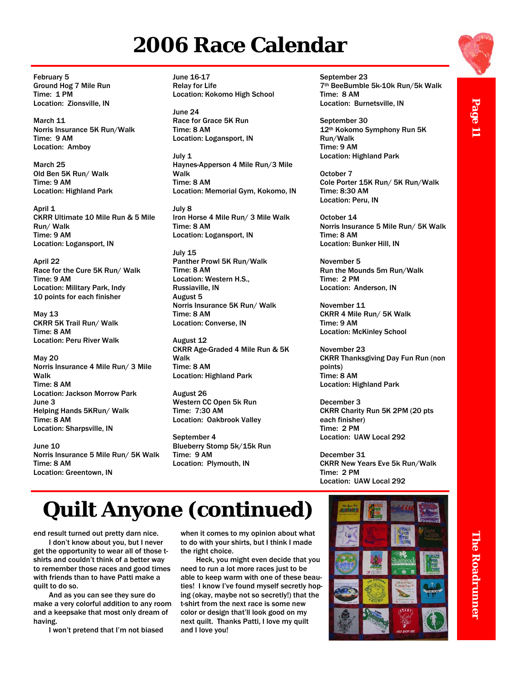### **2006 Race Calendar**

February 5 Ground Hog 7 Mile Run Time: 1 PM Location: Zionsville, IN

March 11 Norris Insurance 5K Run/Walk Time: 9 AM Location: Amboy

March 25 Old Ben 5K Run/ Walk Time: 9 AM Location: Highland Park

April 1 CKRR Ultimate 10 Mile Run & 5 Mile Run/ Walk Time: 9 AM Location: Logansport, IN

April 22 Race for the Cure 5K Run/ Walk Time: 9 AM Location: Military Park, Indy 10 points for each finisher

May 13 CKRR 5K Trail Run/ Walk Time: 8 AM Location: Peru River Walk

May 20 Norris Insurance 4 Mile Run/ 3 Mile Walk Time: 8 AM Location: Jackson Morrow Park June 3 Helping Hands 5KRun/ Walk Time: 8 AM Location: Sharpsville, IN

June 10 Norris Insurance 5 Mile Run/ 5K Walk Time: 8 AM Location: Greentown, IN

June 16-17 Relay for Life Location: Kokomo High School

June 24 Race for Grace 5K Run Time: 8 AM Location: Logansport, IN

July 1 Haynes-Apperson 4 Mile Run/3 Mile Walk Time: 8 AM Location: Memorial Gym, Kokomo, IN

July 8 Iron Horse 4 Mile Run/ 3 Mile Walk Time: 8 AM Location: Logansport, IN

July 15 Panther Prowl 5K Run/Walk Time: 8 AM Location: Western H.S., Russiaville, IN August 5 Norris Insurance 5K Run/ Walk Time: 8 AM Location: Converse, IN

August 12 CKRR Age-Graded 4 Mile Run & 5K Walk Time: 8 AM Location: Highland Park

August 26 Western CC Open 5k Run Time: 7:30 AM Location: Oakbrook Valley

September 4 Blueberry Stomp 5k/15k Run Time: 9 AM Location: Plymouth, IN

September 23 7th BeeBumble 5k-10k Run/5k Walk Time: 8 AM Location: Burnetsville, IN

September 30 12th Kokomo Symphony Run 5K Run/Walk Time: 9 AM Location: Highland Park

October 7 Cole Porter 15K Run/ 5K Run/Walk Time: 8:30 AM Location: Peru, IN

October 14 Norris Insurance 5 Mile Run/ 5K Walk Time: 8 AM Location: Bunker Hill, IN

November 5 Run the Mounds 5m Run/Walk Time: 2 PM Location: Anderson, IN

November 11 CKRR 4 Mile Run/ 5K Walk Time: 9 AM Location: McKinley School

November 23 CKRR Thanksgiving Day Fun Run (non points) Time: 8 AM Location: Highland Park

December 3 CKRR Charity Run 5K 2PM (20 pts each finisher) Time: 2 PM Location: UAW Local 292

December 31 CKRR New Years Eve 5k Run/Walk Time: 2 PM Location: UAW Local 292

# **Quilt Anyone (continued)**

end result turned out pretty darn nice.

I don't know about you, but I never get the opportunity to wear all of those tshirts and couldn't think of a better way to remember those races and good times with friends than to have Patti make a quilt to do so.

And as you can see they sure do make a very colorful addition to any room and a keepsake that most only dream of having.

I won't pretend that I'm not biased

when it comes to my opinion about what to do with your shirts, but I think I made the right choice.

Heck, you might even decide that you need to run a lot more races just to be able to keep warm with one of these beauties! I know I've found myself secretly hoping (okay, maybe not so secretly!) that the t-shirt from the next race is some new color or design that'll look good on my next quilt. Thanks Patti, I love my quilt and I love you!



The Roadrunner